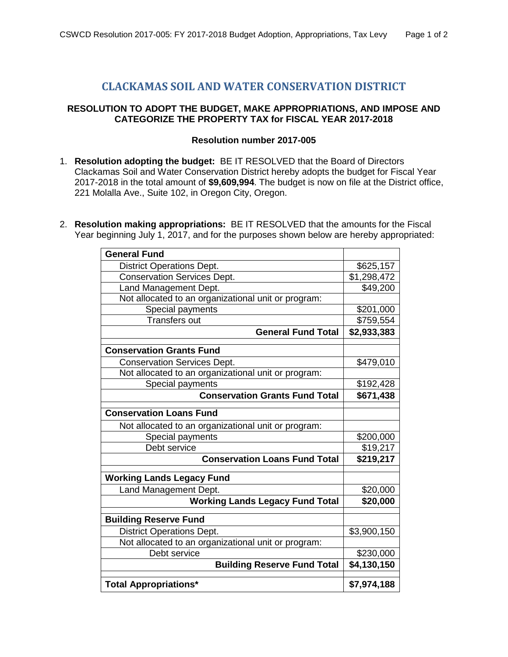## **CLACKAMAS SOIL AND WATER CONSERVATION DISTRICT**

## **RESOLUTION TO ADOPT THE BUDGET, MAKE APPROPRIATIONS, AND IMPOSE AND CATEGORIZE THE PROPERTY TAX for FISCAL YEAR 2017-2018**

## **Resolution number 2017-005**

- 1. **Resolution adopting the budget:** BE IT RESOLVED that the Board of Directors Clackamas Soil and Water Conservation District hereby adopts the budget for Fiscal Year 2017-2018 in the total amount of **\$9,609,994**. The budget is now on file at the District office, 221 Molalla Ave., Suite 102, in Oregon City, Oregon.
- 2. **Resolution making appropriations:** BE IT RESOLVED that the amounts for the Fiscal Year beginning July 1, 2017, and for the purposes shown below are hereby appropriated:

| <b>General Fund</b>                                 |             |
|-----------------------------------------------------|-------------|
| <b>District Operations Dept.</b>                    | \$625,157   |
| <b>Conservation Services Dept.</b>                  | \$1,298,472 |
| Land Management Dept.                               | \$49,200    |
| Not allocated to an organizational unit or program: |             |
| Special payments                                    | \$201,000   |
| <b>Transfers out</b>                                | \$759,554   |
| <b>General Fund Total</b>                           | \$2,933,383 |
| <b>Conservation Grants Fund</b>                     |             |
| <b>Conservation Services Dept.</b>                  | \$479,010   |
| Not allocated to an organizational unit or program: |             |
| Special payments                                    | \$192,428   |
| <b>Conservation Grants Fund Total</b>               | \$671,438   |
| <b>Conservation Loans Fund</b>                      |             |
| Not allocated to an organizational unit or program: |             |
| Special payments                                    | \$200,000   |
| Debt service                                        | \$19,217    |
| <b>Conservation Loans Fund Total</b>                | \$219,217   |
| <b>Working Lands Legacy Fund</b>                    |             |
| Land Management Dept.                               | \$20,000    |
| <b>Working Lands Legacy Fund Total</b>              | \$20,000    |
| <b>Building Reserve Fund</b>                        |             |
| <b>District Operations Dept.</b>                    | \$3,900,150 |
| Not allocated to an organizational unit or program: |             |
| Debt service                                        | \$230,000   |
| <b>Building Reserve Fund Total</b>                  | \$4,130,150 |
| <b>Total Appropriations*</b>                        | \$7,974,188 |